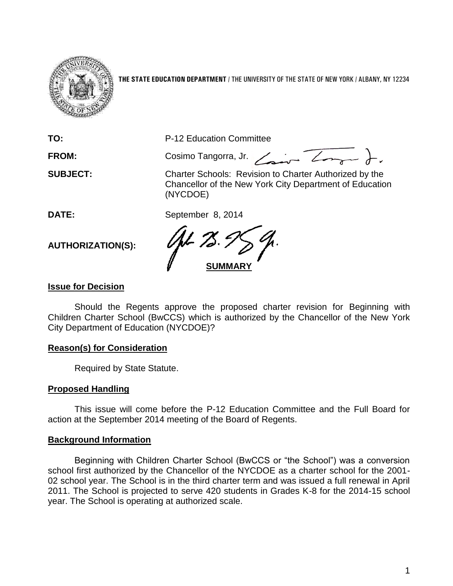

**THE STATE EDUCATION DEPARTMENT** / THE UNIVERSITY OF THE STATE OF NEW YORK / ALBANY, NY 12234

**TO:** P-12 Education Committee FROM: Cosimo Tangorra, Jr. <u>Cosina Zongar</u> ). **SUBJECT:** Charter Schools: Revision to Charter Authorized by the Chancellor of the New York City Department of Education (NYCDOE) **DATE:** September 8, 2014 **AUTHORIZATION(S): SUMMARY**

## **Issue for Decision**

Should the Regents approve the proposed charter revision for Beginning with Children Charter School (BwCCS) which is authorized by the Chancellor of the New York City Department of Education (NYCDOE)?

### **Reason(s) for Consideration**

Required by State Statute.

### **Proposed Handling**

This issue will come before the P-12 Education Committee and the Full Board for action at the September 2014 meeting of the Board of Regents.

### **Background Information**

Beginning with Children Charter School (BwCCS or "the School") was a conversion school first authorized by the Chancellor of the NYCDOE as a charter school for the 2001- 02 school year. The School is in the third charter term and was issued a full renewal in April 2011. The School is projected to serve 420 students in Grades K-8 for the 2014-15 school year. The School is operating at authorized scale.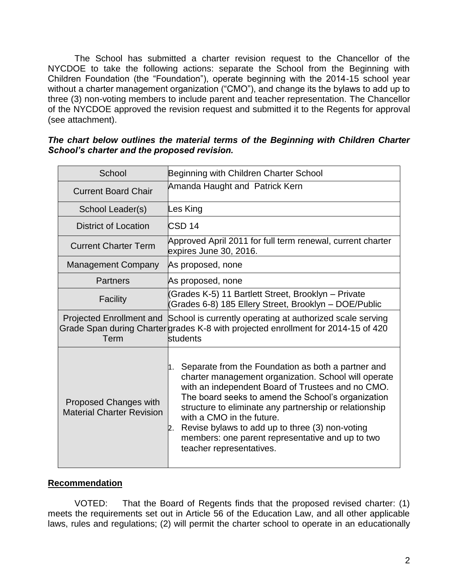The School has submitted a charter revision request to the Chancellor of the NYCDOE to take the following actions: separate the School from the Beginning with Children Foundation (the "Foundation"), operate beginning with the 2014-15 school year without a charter management organization ("CMO"), and change its the bylaws to add up to three (3) non-voting members to include parent and teacher representation. The Chancellor of the NYCDOE approved the revision request and submitted it to the Regents for approval (see attachment).

#### *The chart below outlines the material terms of the Beginning with Children Charter School's charter and the proposed revision.*

| School                                                    | Beginning with Children Charter School                                                                                                                                                                                                                                                                                                                                                                                                                      |  |  |  |  |  |
|-----------------------------------------------------------|-------------------------------------------------------------------------------------------------------------------------------------------------------------------------------------------------------------------------------------------------------------------------------------------------------------------------------------------------------------------------------------------------------------------------------------------------------------|--|--|--|--|--|
| <b>Current Board Chair</b>                                | Amanda Haught and Patrick Kern                                                                                                                                                                                                                                                                                                                                                                                                                              |  |  |  |  |  |
| School Leader(s)                                          | Les King                                                                                                                                                                                                                                                                                                                                                                                                                                                    |  |  |  |  |  |
| <b>District of Location</b>                               | <b>CSD 14</b>                                                                                                                                                                                                                                                                                                                                                                                                                                               |  |  |  |  |  |
| <b>Current Charter Term</b>                               | Approved April 2011 for full term renewal, current charter<br>expires June 30, 2016.                                                                                                                                                                                                                                                                                                                                                                        |  |  |  |  |  |
| <b>Management Company</b>                                 | As proposed, none                                                                                                                                                                                                                                                                                                                                                                                                                                           |  |  |  |  |  |
| <b>Partners</b>                                           | As proposed, none                                                                                                                                                                                                                                                                                                                                                                                                                                           |  |  |  |  |  |
| <b>Facility</b>                                           | (Grades K-5) 11 Bartlett Street, Brooklyn – Private<br>Grades 6-8) 185 Ellery Street, Brooklyn - DOE/Public                                                                                                                                                                                                                                                                                                                                                 |  |  |  |  |  |
| Term                                                      | Projected Enrollment and School is currently operating at authorized scale serving<br>Grade Span during Charter grades K-8 with projected enrollment for 2014-15 of 420<br>students                                                                                                                                                                                                                                                                         |  |  |  |  |  |
| Proposed Changes with<br><b>Material Charter Revision</b> | Separate from the Foundation as both a partner and<br>1.<br>charter management organization. School will operate<br>with an independent Board of Trustees and no CMO.<br>The board seeks to amend the School's organization<br>structure to eliminate any partnership or relationship<br>with a CMO in the future.<br>Revise bylaws to add up to three (3) non-voting<br>2.<br>members: one parent representative and up to two<br>teacher representatives. |  |  |  |  |  |

### **Recommendation**

VOTED: That the Board of Regents finds that the proposed revised charter: (1) meets the requirements set out in Article 56 of the Education Law, and all other applicable laws, rules and regulations; (2) will permit the charter school to operate in an educationally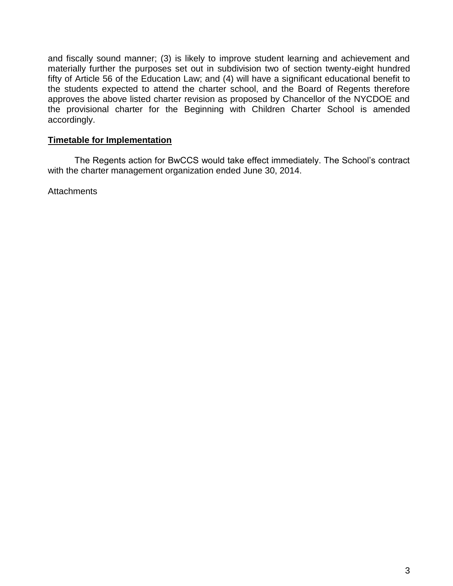and fiscally sound manner; (3) is likely to improve student learning and achievement and materially further the purposes set out in subdivision two of section twenty-eight hundred fifty of Article 56 of the Education Law; and (4) will have a significant educational benefit to the students expected to attend the charter school, and the Board of Regents therefore approves the above listed charter revision as proposed by Chancellor of the NYCDOE and the provisional charter for the Beginning with Children Charter School is amended accordingly.

## **Timetable for Implementation**

The Regents action for BwCCS would take effect immediately. The School's contract with the charter management organization ended June 30, 2014.

**Attachments**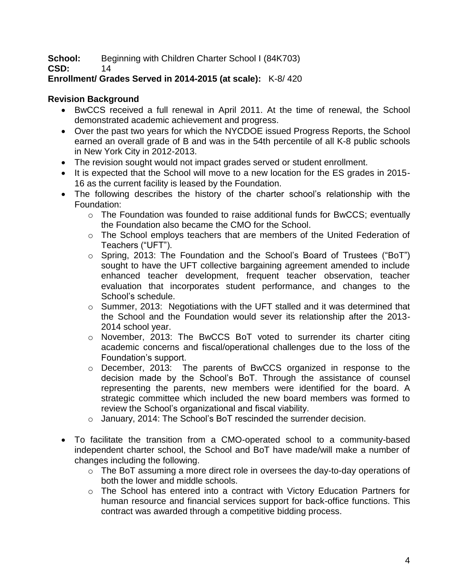**School:** Beginning with Children Charter School I (84K703)

**CSD:** 14

# **Enrollment/ Grades Served in 2014-2015 (at scale):** K-8/ 420

# **Revision Background**

- BwCCS received a full renewal in April 2011. At the time of renewal, the School demonstrated academic achievement and progress.
- Over the past two years for which the NYCDOE issued Progress Reports, the School earned an overall grade of B and was in the 54th percentile of all K-8 public schools in New York City in 2012-2013.
- The revision sought would not impact grades served or student enrollment.
- It is expected that the School will move to a new location for the ES grades in 2015-16 as the current facility is leased by the Foundation.
- The following describes the history of the charter school's relationship with the Foundation:
	- $\circ$  The Foundation was founded to raise additional funds for BwCCS; eventually the Foundation also became the CMO for the School.
	- o The School employs teachers that are members of the United Federation of Teachers ("UFT").
	- o Spring, 2013: The Foundation and the School's Board of Trustees ("BoT") sought to have the UFT collective bargaining agreement amended to include enhanced teacher development, frequent teacher observation, teacher evaluation that incorporates student performance, and changes to the School's schedule.
	- o Summer, 2013: Negotiations with the UFT stalled and it was determined that the School and the Foundation would sever its relationship after the 2013- 2014 school year.
	- o November, 2013: The BwCCS BoT voted to surrender its charter citing academic concerns and fiscal/operational challenges due to the loss of the Foundation's support.
	- $\circ$  December, 2013: The parents of BwCCS organized in response to the decision made by the School's BoT. Through the assistance of counsel representing the parents, new members were identified for the board. A strategic committee which included the new board members was formed to review the School's organizational and fiscal viability.
	- o January, 2014: The School's BoT rescinded the surrender decision.
- To facilitate the transition from a CMO-operated school to a community-based independent charter school, the School and BoT have made/will make a number of changes including the following.
	- o The BoT assuming a more direct role in oversees the day-to-day operations of both the lower and middle schools.
	- o The School has entered into a contract with Victory Education Partners for human resource and financial services support for back-office functions. This contract was awarded through a competitive bidding process.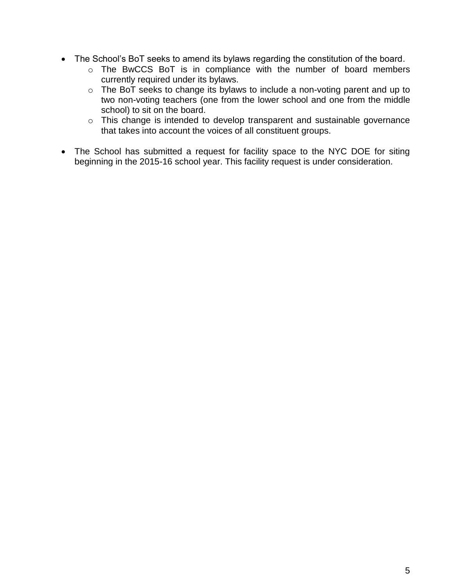- The School's BoT seeks to amend its bylaws regarding the constitution of the board.
	- o The BwCCS BoT is in compliance with the number of board members currently required under its bylaws.
	- o The BoT seeks to change its bylaws to include a non-voting parent and up to two non-voting teachers (one from the lower school and one from the middle school) to sit on the board.
	- o This change is intended to develop transparent and sustainable governance that takes into account the voices of all constituent groups.
- The School has submitted a request for facility space to the NYC DOE for siting beginning in the 2015-16 school year. This facility request is under consideration.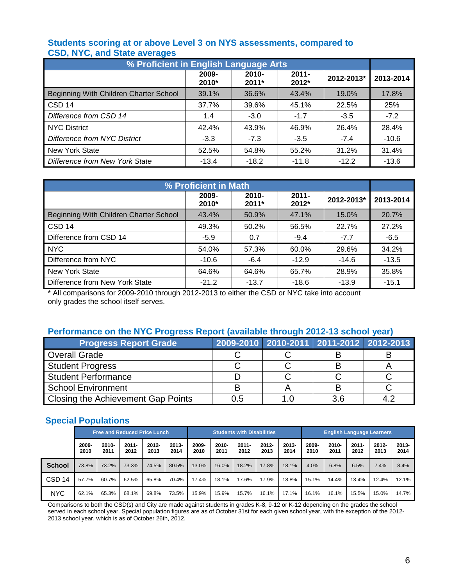## **Students scoring at or above Level 3 on NYS assessments, compared to CSD, NYC, and State averages**

| % Proficient in English Language Arts  |                |                |                   |            |           |  |  |  |  |  |
|----------------------------------------|----------------|----------------|-------------------|------------|-----------|--|--|--|--|--|
|                                        | 2009-<br>2010* | 2010-<br>2011* | $2011 -$<br>2012* | 2012-2013* | 2013-2014 |  |  |  |  |  |
| Beginning With Children Charter School | 39.1%          | 36.6%          | 43.4%             | 19.0%      | 17.8%     |  |  |  |  |  |
| CSD <sub>14</sub>                      | 37.7%          | 39.6%          | 45.1%             | 22.5%      | 25%       |  |  |  |  |  |
| Difference from CSD 14                 | 1.4            | $-3.0$         | $-1.7$            | $-3.5$     | $-7.2$    |  |  |  |  |  |
| <b>NYC District</b>                    | 42.4%          | 43.9%          | 46.9%             | 26.4%      | 28.4%     |  |  |  |  |  |
| Difference from NYC District           | $-3.3$         | $-7.3$         | $-3.5$            | $-7.4$     | $-10.6$   |  |  |  |  |  |
| <b>New York State</b>                  | 52.5%          | 54.8%          | 55.2%             | 31.2%      | 31.4%     |  |  |  |  |  |
| Difference from New York State         | $-13.4$        | $-18.2$        | $-11.8$           | $-12.2$    | $-13.6$   |  |  |  |  |  |

| % Proficient in Math                   |                |                   |                   |            |           |  |  |  |  |  |
|----------------------------------------|----------------|-------------------|-------------------|------------|-----------|--|--|--|--|--|
|                                        | 2009-<br>2010* | $2010 -$<br>2011* | $2011 -$<br>2012* | 2012-2013* | 2013-2014 |  |  |  |  |  |
| Beginning With Children Charter School | 43.4%          | 50.9%             | 47.1%             | 15.0%      | 20.7%     |  |  |  |  |  |
| CSD <sub>14</sub>                      | 49.3%          | 50.2%             | 56.5%             | 22.7%      | 27.2%     |  |  |  |  |  |
| Difference from CSD 14                 | $-5.9$         | 0.7               | $-9.4$            | $-7.7$     | $-6.5$    |  |  |  |  |  |
| <b>NYC</b>                             | 54.0%          | 57.3%             | 60.0%             | 29.6%      | 34.2%     |  |  |  |  |  |
| Difference from NYC                    | $-10.6$        | $-6.4$            | $-12.9$           | $-14.6$    | $-13.5$   |  |  |  |  |  |
| <b>New York State</b>                  | 64.6%          | 64.6%             | 65.7%             | 28.9%      | 35.8%     |  |  |  |  |  |
| Difference from New York State         | $-21.2$        | $-13.7$           | $-18.6$           | $-13.9$    | $-15.1$   |  |  |  |  |  |

\* All comparisons for 2009-2010 through 2012-2013 to either the CSD or NYC take into account only grades the school itself serves.

## **Performance on the NYC Progress Report (available through 2012-13 school year)**

| <b>Progress Report Grade</b>              |     | 2009-2010 2010-2011 2011-2012 2012-2013 |  |
|-------------------------------------------|-----|-----------------------------------------|--|
| <b>Overall Grade</b>                      |     |                                         |  |
| Student Progress                          |     |                                         |  |
| Student Performance                       |     |                                         |  |
| School Environment                        |     |                                         |  |
| <b>Closing the Achievement Gap Points</b> | 0.5 | 3.6                                     |  |

## **Special Populations**

|                   | <b>Free and Reduced Price Lunch</b> |                  |                  |                  |                  | <b>Students with Disabilities</b> |               |                  |                  | <b>English Language Learners</b> |               |                  |                  |                  |                  |
|-------------------|-------------------------------------|------------------|------------------|------------------|------------------|-----------------------------------|---------------|------------------|------------------|----------------------------------|---------------|------------------|------------------|------------------|------------------|
|                   | 2009-<br>2010                       | $2010 -$<br>2011 | $2011 -$<br>2012 | $2012 -$<br>2013 | $2013 -$<br>2014 | 2009-<br>2010                     | 2010-<br>2011 | $2011 -$<br>2012 | $2012 -$<br>2013 | $2013 -$<br>2014                 | 2009-<br>2010 | $2010 -$<br>2011 | $2011 -$<br>2012 | $2012 -$<br>2013 | $2013 -$<br>2014 |
| <b>School</b>     | 73.8%                               | 73.2%            | 73.3%            | 74.5%            | 80.5%            | 13.0%                             | 16.0%         | 18.2%            | 17.8%            | 18.1%                            | 4.0%          | 6.8%             | 6.5%             | 7.4%             | 8.4%             |
| CSD <sub>14</sub> | 57.7%                               | 60.7%            | 62.5%            | 65.8%            | 70.4%            | 17.4%                             | 18.1%         | 17.6%            | 17.9%            | 18.8%                            | 15.1%         | 14.4%            | 13.4%            | 12.4%            | 12.1%            |
| <b>NYC</b>        | 62.1%                               | 65.3%            | 68.1%            | 69.8%            | 73.5%            | 15.9%                             | 15.9%         | 15.7%            | 16.1%            | 17.1%                            | 16.1%         | 16.1%            | 15.5%            | 15.0%            | 14.7%            |

Comparisons to both the CSD(s) and City are made against students in grades K-8, 9-12 or K-12 depending on the grades the school served in each school year. Special population figures are as of October 31st for each given school year, with the exception of the 2012- 2013 school year, which is as of October 26th, 2012.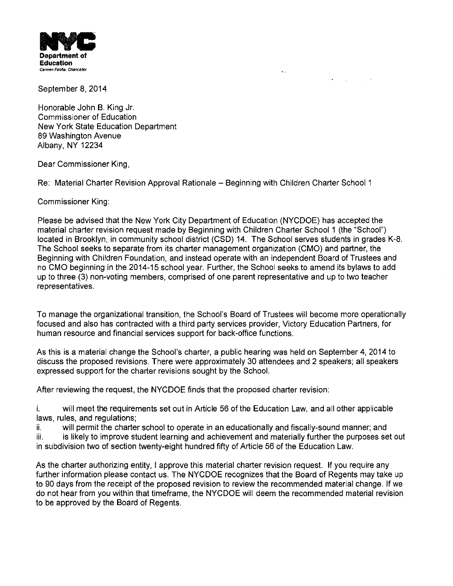

September 8, 2014

Honorable John B. King Jr. Commissioner of Education New York State Education Department 89 Washington Avenue Albany, NY 12234

Dear Commissioner King,

Re: Material Charter Revision Approval Rationale - Beginning with Children Charter School 1

Commissioner King:

Please be advised that the New York City Department of Education (NYCDOE) has accepted the material charter revision request made by Beginning with Children Charter School 1 (the "School") located in Brooklyn, in community school district (CSD) 14. The School serves students in grades K-8. The School seeks to separate from its charter management organization (CMO) and partner, the Beginning with Children Foundation, and instead operate with an independent Board of Trustees and no CMO beginning in the 2014-15 school year. Further, the School seeks to amend its bylaws to add up to three (3) non-voting members, comprised of one parent representative and up to two teacher representatives.

 $\ddot{\phantom{a}}$ 

 $\bullet$  -  $\sim$   $\omega$  -  $\sim$   $\omega$  -  $\sim$ 

To manage the organizational transition, the School's Board of Trustees will become more operationally focused and also has contracted with a third party services provider, Victory Education Partners, for human resource and financial services support for back-office functions.

As this is a material change the School's charter, a public hearing was held on September 4,2014 to discuss the proposed revisions. There were approximately 30 attendees and 2 speakers; all speakers expressed support for the charter revisions sought by the School.

After reviewing the request, the NYCDOE finds that the proposed charter revision:

i. will meet the requirements set out in Article 56 of the Education Law, and all other applicable laws, rules, and regulations;

ii. will permit the charter school to operate in an educationally and fiscally-sound manner; and iii. is likely to improve student learning and achievement and materially further the purposes set out in subdivision two of section twenty-eight hundred fifty of Article 56 of the Education Law.

As the charter authorizing entity, I approve this material charter revision request. If you require any further information please contact us. The NYCDOE recognizes that the Board of Regents may take up to 90 days from the receipt of the proposed revision to review the recommended material change. If we do not hear from you within that timeframe, the NYCDOE will deem the recommended material revision to be approved by the Board of Regents.